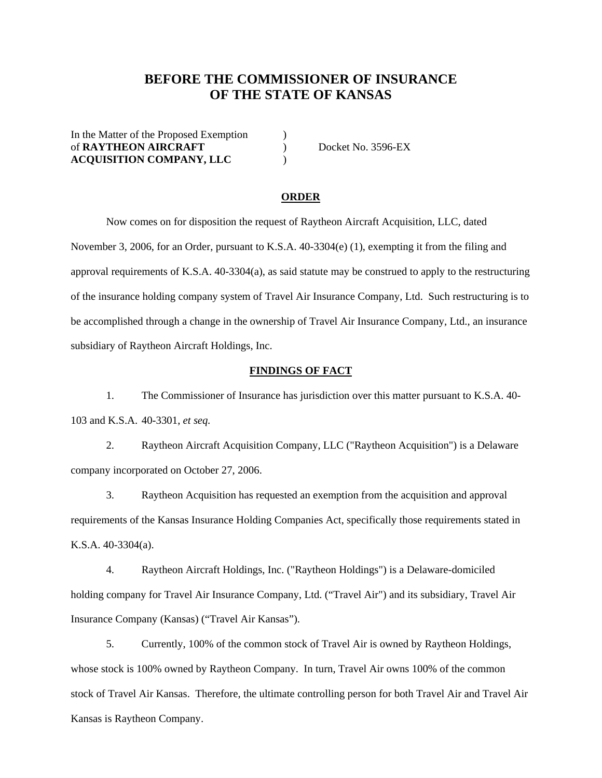## **BEFORE THE COMMISSIONER OF INSURANCE OF THE STATE OF KANSAS**

In the Matter of the Proposed Exemption  $\qquad)$ of **RAYTHEON AIRCRAFT** ) Docket No. 3596-EX **ACQUISITION COMPANY, LLC** )

### **ORDER**

 Now comes on for disposition the request of Raytheon Aircraft Acquisition, LLC, dated November 3, 2006, for an Order, pursuant to K.S.A. 40-3304(e) (1), exempting it from the filing and approval requirements of K.S.A. 40-3304(a), as said statute may be construed to apply to the restructuring of the insurance holding company system of Travel Air Insurance Company, Ltd. Such restructuring is to be accomplished through a change in the ownership of Travel Air Insurance Company, Ltd., an insurance subsidiary of Raytheon Aircraft Holdings, Inc.

## **FINDINGS OF FACT**

 1. The Commissioner of Insurance has jurisdiction over this matter pursuant to K.S.A. 40- 103 and K.S.A. 40-3301, *et seq.* 

 2. Raytheon Aircraft Acquisition Company, LLC ("Raytheon Acquisition") is a Delaware company incorporated on October 27, 2006.

 3. Raytheon Acquisition has requested an exemption from the acquisition and approval requirements of the Kansas Insurance Holding Companies Act, specifically those requirements stated in K.S.A. 40-3304(a).

 4. Raytheon Aircraft Holdings, Inc. ("Raytheon Holdings") is a Delaware-domiciled holding company for Travel Air Insurance Company, Ltd. ("Travel Air") and its subsidiary, Travel Air Insurance Company (Kansas) ("Travel Air Kansas").

 5. Currently, 100% of the common stock of Travel Air is owned by Raytheon Holdings, whose stock is 100% owned by Raytheon Company. In turn, Travel Air owns 100% of the common stock of Travel Air Kansas. Therefore, the ultimate controlling person for both Travel Air and Travel Air Kansas is Raytheon Company.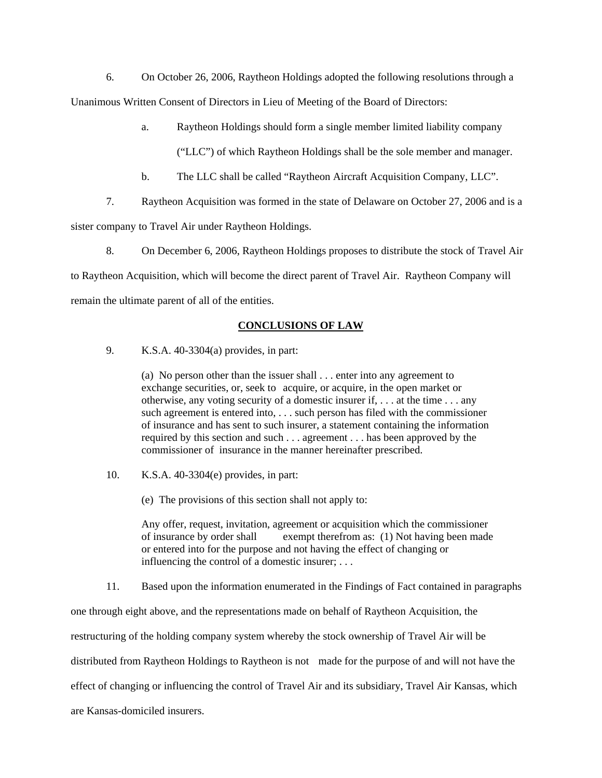6. On October 26, 2006, Raytheon Holdings adopted the following resolutions through a Unanimous Written Consent of Directors in Lieu of Meeting of the Board of Directors:

a. Raytheon Holdings should form a single member limited liability company

("LLC") of which Raytheon Holdings shall be the sole member and manager.

- b. The LLC shall be called "Raytheon Aircraft Acquisition Company, LLC".
- 7. Raytheon Acquisition was formed in the state of Delaware on October 27, 2006 and is a

sister company to Travel Air under Raytheon Holdings.

8. On December 6, 2006, Raytheon Holdings proposes to distribute the stock of Travel Air

to Raytheon Acquisition, which will become the direct parent of Travel Air. Raytheon Company will

remain the ultimate parent of all of the entities.

## **CONCLUSIONS OF LAW**

9. K.S.A. 40-3304(a) provides, in part:

(a) No person other than the issuer shall . . . enter into any agreement to exchange securities, or, seek to acquire, or acquire, in the open market or otherwise, any voting security of a domestic insurer if, . . . at the time . . . any such agreement is entered into, . . . such person has filed with the commissioner of insurance and has sent to such insurer, a statement containing the information required by this section and such . . . agreement . . . has been approved by the commissioner of insurance in the manner hereinafter prescribed.

10. K.S.A. 40-3304(e) provides, in part:

(e) The provisions of this section shall not apply to:

Any offer, request, invitation, agreement or acquisition which the commissioner of insurance by order shall exempt therefrom as: (1) Not having been made or entered into for the purpose and not having the effect of changing or influencing the control of a domestic insurer; . . .

11. Based upon the information enumerated in the Findings of Fact contained in paragraphs

one through eight above, and the representations made on behalf of Raytheon Acquisition, the

restructuring of the holding company system whereby the stock ownership of Travel Air will be

distributed from Raytheon Holdings to Raytheon is not made for the purpose of and will not have the

effect of changing or influencing the control of Travel Air and its subsidiary, Travel Air Kansas, which

are Kansas-domiciled insurers.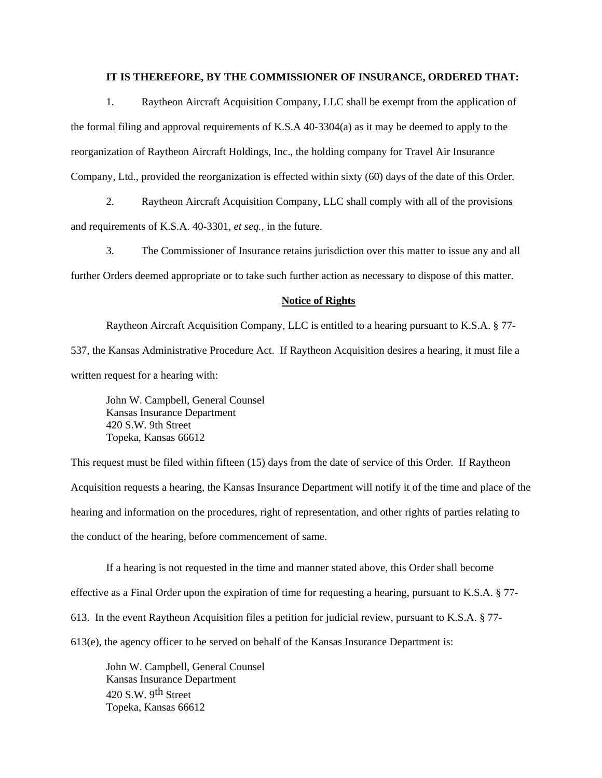## **IT IS THEREFORE, BY THE COMMISSIONER OF INSURANCE, ORDERED THAT:**

 1. Raytheon Aircraft Acquisition Company, LLC shall be exempt from the application of the formal filing and approval requirements of K.S.A 40-3304(a) as it may be deemed to apply to the reorganization of Raytheon Aircraft Holdings, Inc., the holding company for Travel Air Insurance Company, Ltd., provided the reorganization is effected within sixty (60) days of the date of this Order.

 2. Raytheon Aircraft Acquisition Company, LLC shall comply with all of the provisions and requirements of K.S.A. 40-3301, *et seq.,* in the future.

 3. The Commissioner of Insurance retains jurisdiction over this matter to issue any and all further Orders deemed appropriate or to take such further action as necessary to dispose of this matter.

#### **Notice of Rights**

 Raytheon Aircraft Acquisition Company, LLC is entitled to a hearing pursuant to K.S.A. § 77- 537, the Kansas Administrative Procedure Act. If Raytheon Acquisition desires a hearing, it must file a written request for a hearing with:

 John W. Campbell, General Counsel Kansas Insurance Department 420 S.W. 9th Street Topeka, Kansas 66612

This request must be filed within fifteen (15) days from the date of service of this Order. If Raytheon Acquisition requests a hearing, the Kansas Insurance Department will notify it of the time and place of the hearing and information on the procedures, right of representation, and other rights of parties relating to the conduct of the hearing, before commencement of same.

 If a hearing is not requested in the time and manner stated above, this Order shall become effective as a Final Order upon the expiration of time for requesting a hearing, pursuant to K.S.A. § 77- 613. In the event Raytheon Acquisition files a petition for judicial review, pursuant to K.S.A. § 77- 613(e), the agency officer to be served on behalf of the Kansas Insurance Department is:

 John W. Campbell, General Counsel Kansas Insurance Department 420 S.W. 9th Street Topeka, Kansas 66612